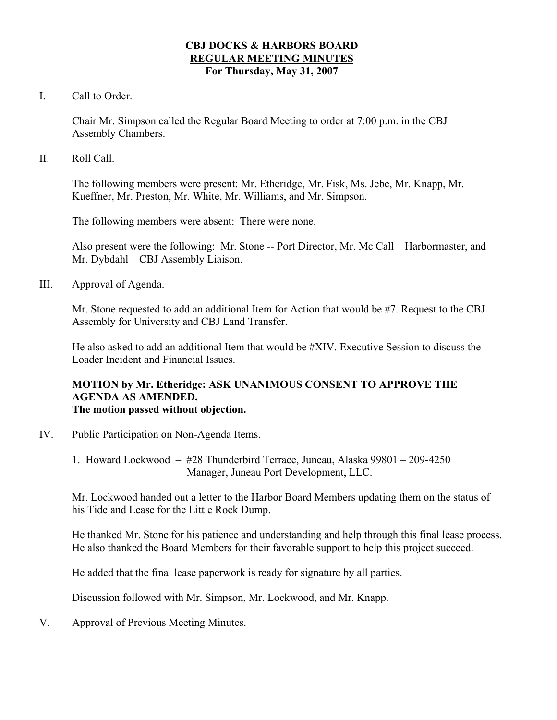#### **CBJ DOCKS & HARBORS BOARD REGULAR MEETING MINUTES For Thursday, May 31, 2007**

I. Call to Order.

Chair Mr. Simpson called the Regular Board Meeting to order at 7:00 p.m. in the CBJ Assembly Chambers.

II. Roll Call.

The following members were present: Mr. Etheridge, Mr. Fisk, Ms. Jebe, Mr. Knapp, Mr. Kueffner, Mr. Preston, Mr. White, Mr. Williams, and Mr. Simpson.

The following members were absent: There were none.

Also present were the following: Mr. Stone -- Port Director, Mr. Mc Call – Harbormaster, and Mr. Dybdahl – CBJ Assembly Liaison.

III. Approval of Agenda.

Mr. Stone requested to add an additional Item for Action that would be #7. Request to the CBJ Assembly for University and CBJ Land Transfer.

He also asked to add an additional Item that would be #XIV. Executive Session to discuss the Loader Incident and Financial Issues.

#### **MOTION by Mr. Etheridge: ASK UNANIMOUS CONSENT TO APPROVE THE AGENDA AS AMENDED. The motion passed without objection.**

- IV. Public Participation on Non-Agenda Items.
	- 1. Howard Lockwood #28 Thunderbird Terrace, Juneau, Alaska 99801 209-4250 Manager, Juneau Port Development, LLC.

Mr. Lockwood handed out a letter to the Harbor Board Members updating them on the status of his Tideland Lease for the Little Rock Dump.

He thanked Mr. Stone for his patience and understanding and help through this final lease process. He also thanked the Board Members for their favorable support to help this project succeed.

He added that the final lease paperwork is ready for signature by all parties.

Discussion followed with Mr. Simpson, Mr. Lockwood, and Mr. Knapp.

V. Approval of Previous Meeting Minutes.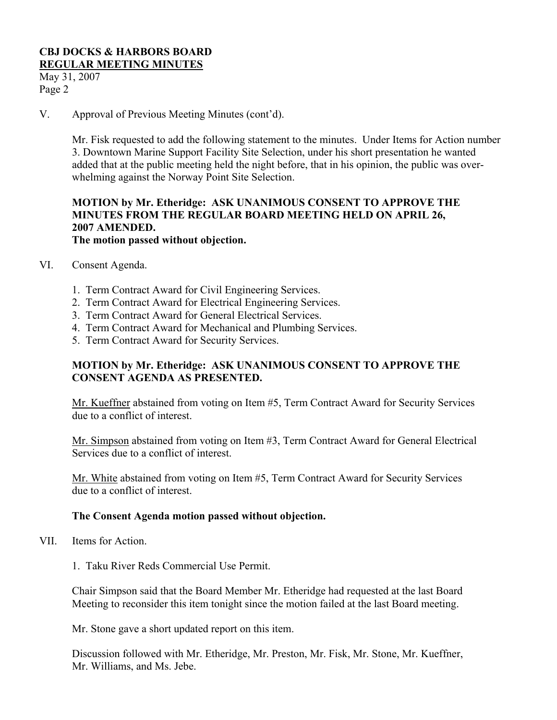May 31, 2007 Page 2

V. Approval of Previous Meeting Minutes (cont'd).

Mr. Fisk requested to add the following statement to the minutes. Under Items for Action number 3. Downtown Marine Support Facility Site Selection, under his short presentation he wanted added that at the public meeting held the night before, that in his opinion, the public was overwhelming against the Norway Point Site Selection.

#### **MOTION by Mr. Etheridge: ASK UNANIMOUS CONSENT TO APPROVE THE MINUTES FROM THE REGULAR BOARD MEETING HELD ON APRIL 26, 2007 AMENDED. The motion passed without objection.**

- VI. Consent Agenda.
	- 1. Term Contract Award for Civil Engineering Services.
	- 2. Term Contract Award for Electrical Engineering Services.
	- 3. Term Contract Award for General Electrical Services.
	- 4. Term Contract Award for Mechanical and Plumbing Services.
	- 5. Term Contract Award for Security Services.

## **MOTION by Mr. Etheridge: ASK UNANIMOUS CONSENT TO APPROVE THE CONSENT AGENDA AS PRESENTED.**

Mr. Kueffner abstained from voting on Item #5, Term Contract Award for Security Services due to a conflict of interest.

Mr. Simpson abstained from voting on Item #3, Term Contract Award for General Electrical Services due to a conflict of interest.

Mr. White abstained from voting on Item #5, Term Contract Award for Security Services due to a conflict of interest.

#### **The Consent Agenda motion passed without objection.**

- VII. Items for Action.
	- 1. Taku River Reds Commercial Use Permit.

Chair Simpson said that the Board Member Mr. Etheridge had requested at the last Board Meeting to reconsider this item tonight since the motion failed at the last Board meeting.

Mr. Stone gave a short updated report on this item.

Discussion followed with Mr. Etheridge, Mr. Preston, Mr. Fisk, Mr. Stone, Mr. Kueffner, Mr. Williams, and Ms. Jebe.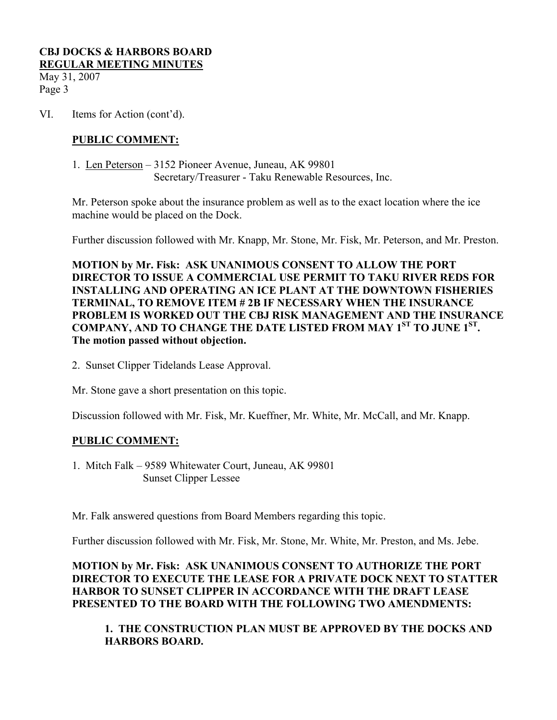May 31, 2007 Page 3

VI. Items for Action (cont'd).

## **PUBLIC COMMENT:**

 1. Len Peterson – 3152 Pioneer Avenue, Juneau, AK 99801 Secretary/Treasurer - Taku Renewable Resources, Inc.

Mr. Peterson spoke about the insurance problem as well as to the exact location where the ice machine would be placed on the Dock.

Further discussion followed with Mr. Knapp, Mr. Stone, Mr. Fisk, Mr. Peterson, and Mr. Preston.

**MOTION by Mr. Fisk: ASK UNANIMOUS CONSENT TO ALLOW THE PORT DIRECTOR TO ISSUE A COMMERCIAL USE PERMIT TO TAKU RIVER REDS FOR INSTALLING AND OPERATING AN ICE PLANT AT THE DOWNTOWN FISHERIES TERMINAL, TO REMOVE ITEM # 2B IF NECESSARY WHEN THE INSURANCE PROBLEM IS WORKED OUT THE CBJ RISK MANAGEMENT AND THE INSURANCE COMPANY, AND TO CHANGE THE DATE LISTED FROM MAY 1ST TO JUNE 1ST. The motion passed without objection.** 

2. Sunset Clipper Tidelands Lease Approval.

Mr. Stone gave a short presentation on this topic.

Discussion followed with Mr. Fisk, Mr. Kueffner, Mr. White, Mr. McCall, and Mr. Knapp.

## **PUBLIC COMMENT:**

1. Mitch Falk – 9589 Whitewater Court, Juneau, AK 99801 Sunset Clipper Lessee

Mr. Falk answered questions from Board Members regarding this topic.

Further discussion followed with Mr. Fisk, Mr. Stone, Mr. White, Mr. Preston, and Ms. Jebe.

## **MOTION by Mr. Fisk: ASK UNANIMOUS CONSENT TO AUTHORIZE THE PORT DIRECTOR TO EXECUTE THE LEASE FOR A PRIVATE DOCK NEXT TO STATTER HARBOR TO SUNSET CLIPPER IN ACCORDANCE WITH THE DRAFT LEASE PRESENTED TO THE BOARD WITH THE FOLLOWING TWO AMENDMENTS:**

## **1. THE CONSTRUCTION PLAN MUST BE APPROVED BY THE DOCKS AND HARBORS BOARD.**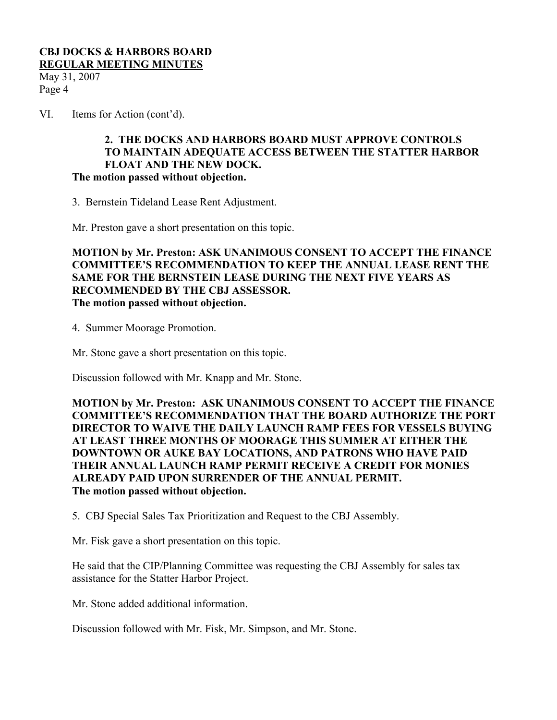May 31, 2007 Page 4

VI. Items for Action (cont'd).

#### **2. THE DOCKS AND HARBORS BOARD MUST APPROVE CONTROLS TO MAINTAIN ADEQUATE ACCESS BETWEEN THE STATTER HARBOR FLOAT AND THE NEW DOCK. The motion passed without objection.**

3. Bernstein Tideland Lease Rent Adjustment.

Mr. Preston gave a short presentation on this topic.

**MOTION by Mr. Preston: ASK UNANIMOUS CONSENT TO ACCEPT THE FINANCE COMMITTEE'S RECOMMENDATION TO KEEP THE ANNUAL LEASE RENT THE SAME FOR THE BERNSTEIN LEASE DURING THE NEXT FIVE YEARS AS RECOMMENDED BY THE CBJ ASSESSOR. The motion passed without objection.** 

4. Summer Moorage Promotion.

Mr. Stone gave a short presentation on this topic.

Discussion followed with Mr. Knapp and Mr. Stone.

**MOTION by Mr. Preston: ASK UNANIMOUS CONSENT TO ACCEPT THE FINANCE COMMITTEE'S RECOMMENDATION THAT THE BOARD AUTHORIZE THE PORT DIRECTOR TO WAIVE THE DAILY LAUNCH RAMP FEES FOR VESSELS BUYING AT LEAST THREE MONTHS OF MOORAGE THIS SUMMER AT EITHER THE DOWNTOWN OR AUKE BAY LOCATIONS, AND PATRONS WHO HAVE PAID THEIR ANNUAL LAUNCH RAMP PERMIT RECEIVE A CREDIT FOR MONIES ALREADY PAID UPON SURRENDER OF THE ANNUAL PERMIT. The motion passed without objection.** 

5. CBJ Special Sales Tax Prioritization and Request to the CBJ Assembly.

Mr. Fisk gave a short presentation on this topic.

He said that the CIP/Planning Committee was requesting the CBJ Assembly for sales tax assistance for the Statter Harbor Project.

Mr. Stone added additional information.

Discussion followed with Mr. Fisk, Mr. Simpson, and Mr. Stone.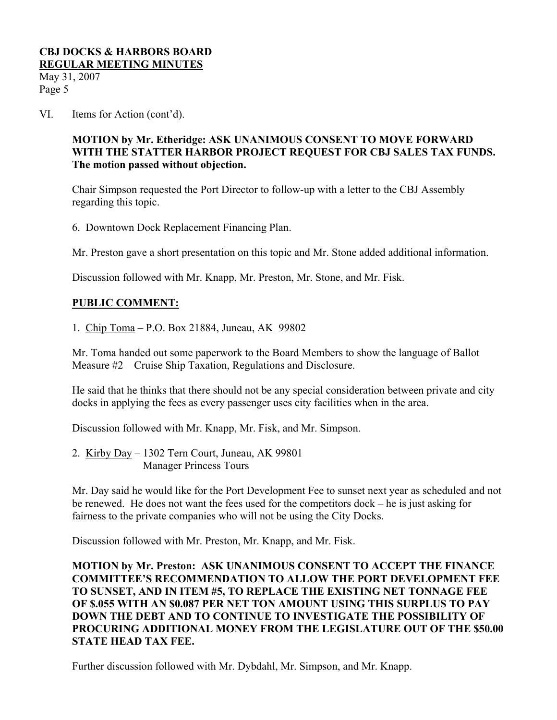May 31, 2007 Page 5

VI. Items for Action (cont'd).

# **MOTION by Mr. Etheridge: ASK UNANIMOUS CONSENT TO MOVE FORWARD WITH THE STATTER HARBOR PROJECT REQUEST FOR CBJ SALES TAX FUNDS. The motion passed without objection.**

Chair Simpson requested the Port Director to follow-up with a letter to the CBJ Assembly regarding this topic.

6. Downtown Dock Replacement Financing Plan.

Mr. Preston gave a short presentation on this topic and Mr. Stone added additional information.

Discussion followed with Mr. Knapp, Mr. Preston, Mr. Stone, and Mr. Fisk.

# **PUBLIC COMMENT:**

1. Chip Toma – P.O. Box 21884, Juneau, AK 99802

Mr. Toma handed out some paperwork to the Board Members to show the language of Ballot Measure #2 – Cruise Ship Taxation, Regulations and Disclosure.

He said that he thinks that there should not be any special consideration between private and city docks in applying the fees as every passenger uses city facilities when in the area.

Discussion followed with Mr. Knapp, Mr. Fisk, and Mr. Simpson.

2. Kirby Day – 1302 Tern Court, Juneau, AK 99801 Manager Princess Tours

Mr. Day said he would like for the Port Development Fee to sunset next year as scheduled and not be renewed. He does not want the fees used for the competitors dock – he is just asking for fairness to the private companies who will not be using the City Docks.

Discussion followed with Mr. Preston, Mr. Knapp, and Mr. Fisk.

**MOTION by Mr. Preston: ASK UNANIMOUS CONSENT TO ACCEPT THE FINANCE COMMITTEE'S RECOMMENDATION TO ALLOW THE PORT DEVELOPMENT FEE TO SUNSET, AND IN ITEM #5, TO REPLACE THE EXISTING NET TONNAGE FEE OF \$.055 WITH AN \$0.087 PER NET TON AMOUNT USING THIS SURPLUS TO PAY DOWN THE DEBT AND TO CONTINUE TO INVESTIGATE THE POSSIBILITY OF PROCURING ADDITIONAL MONEY FROM THE LEGISLATURE OUT OF THE \$50.00 STATE HEAD TAX FEE.** 

Further discussion followed with Mr. Dybdahl, Mr. Simpson, and Mr. Knapp.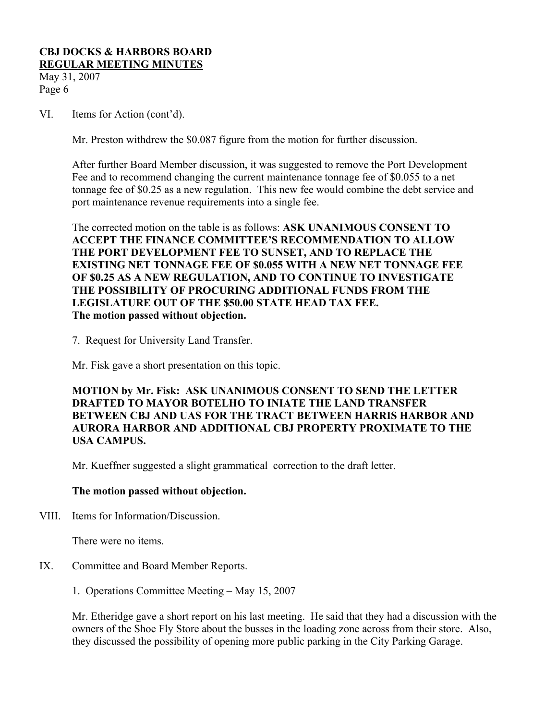May 31, 2007 Page 6

VI. Items for Action (cont'd).

Mr. Preston withdrew the \$0.087 figure from the motion for further discussion.

After further Board Member discussion, it was suggested to remove the Port Development Fee and to recommend changing the current maintenance tonnage fee of \$0.055 to a net tonnage fee of \$0.25 as a new regulation. This new fee would combine the debt service and port maintenance revenue requirements into a single fee.

The corrected motion on the table is as follows: **ASK UNANIMOUS CONSENT TO ACCEPT THE FINANCE COMMITTEE'S RECOMMENDATION TO ALLOW THE PORT DEVELOPMENT FEE TO SUNSET, AND TO REPLACE THE EXISTING NET TONNAGE FEE OF \$0.055 WITH A NEW NET TONNAGE FEE OF \$0.25 AS A NEW REGULATION, AND TO CONTINUE TO INVESTIGATE THE POSSIBILITY OF PROCURING ADDITIONAL FUNDS FROM THE LEGISLATURE OUT OF THE \$50.00 STATE HEAD TAX FEE. The motion passed without objection.** 

7. Request for University Land Transfer.

Mr. Fisk gave a short presentation on this topic.

**MOTION by Mr. Fisk: ASK UNANIMOUS CONSENT TO SEND THE LETTER DRAFTED TO MAYOR BOTELHO TO INIATE THE LAND TRANSFER BETWEEN CBJ AND UAS FOR THE TRACT BETWEEN HARRIS HARBOR AND AURORA HARBOR AND ADDITIONAL CBJ PROPERTY PROXIMATE TO THE USA CAMPUS.** 

Mr. Kueffner suggested a slight grammatical correction to the draft letter.

#### **The motion passed without objection.**

VIII. Items for Information/Discussion.

There were no items.

- IX. Committee and Board Member Reports.
	- 1. Operations Committee Meeting May 15, 2007

Mr. Etheridge gave a short report on his last meeting. He said that they had a discussion with the owners of the Shoe Fly Store about the busses in the loading zone across from their store. Also, they discussed the possibility of opening more public parking in the City Parking Garage.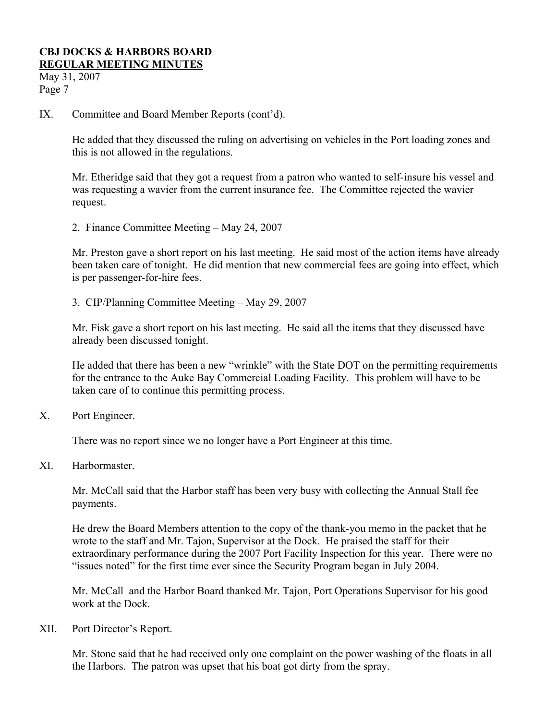May 31, 2007 Page 7

IX. Committee and Board Member Reports (cont'd).

He added that they discussed the ruling on advertising on vehicles in the Port loading zones and this is not allowed in the regulations.

Mr. Etheridge said that they got a request from a patron who wanted to self-insure his vessel and was requesting a wavier from the current insurance fee. The Committee rejected the wavier request.

2. Finance Committee Meeting – May 24, 2007

Mr. Preston gave a short report on his last meeting. He said most of the action items have already been taken care of tonight. He did mention that new commercial fees are going into effect, which is per passenger-for-hire fees.

3. CIP/Planning Committee Meeting – May 29, 2007

Mr. Fisk gave a short report on his last meeting. He said all the items that they discussed have already been discussed tonight.

He added that there has been a new "wrinkle" with the State DOT on the permitting requirements for the entrance to the Auke Bay Commercial Loading Facility. This problem will have to be taken care of to continue this permitting process.

X. Port Engineer.

There was no report since we no longer have a Port Engineer at this time.

XI. Harbormaster.

Mr. McCall said that the Harbor staff has been very busy with collecting the Annual Stall fee payments.

He drew the Board Members attention to the copy of the thank-you memo in the packet that he wrote to the staff and Mr. Tajon, Supervisor at the Dock. He praised the staff for their extraordinary performance during the 2007 Port Facility Inspection for this year. There were no "issues noted" for the first time ever since the Security Program began in July 2004.

Mr. McCall and the Harbor Board thanked Mr. Tajon, Port Operations Supervisor for his good work at the Dock.

XII. Port Director's Report.

Mr. Stone said that he had received only one complaint on the power washing of the floats in all the Harbors. The patron was upset that his boat got dirty from the spray.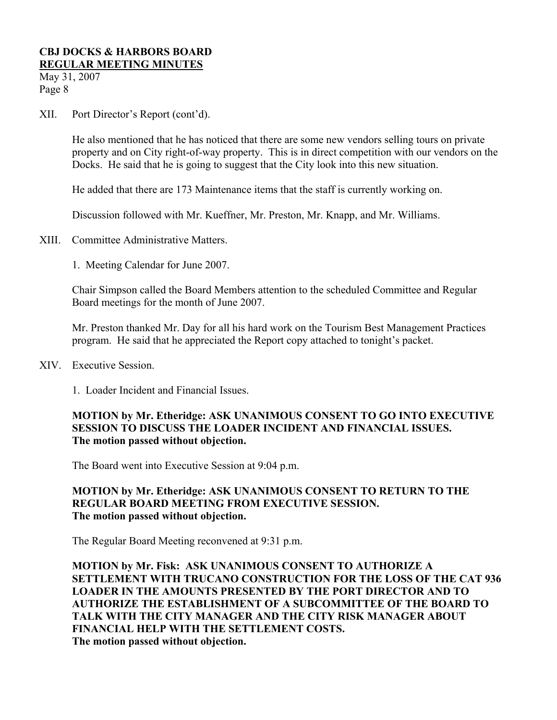May 31, 2007 Page 8

XII. Port Director's Report (cont'd).

He also mentioned that he has noticed that there are some new vendors selling tours on private property and on City right-of-way property. This is in direct competition with our vendors on the Docks. He said that he is going to suggest that the City look into this new situation.

He added that there are 173 Maintenance items that the staff is currently working on.

Discussion followed with Mr. Kueffner, Mr. Preston, Mr. Knapp, and Mr. Williams.

- XIII. Committee Administrative Matters.
	- 1. Meeting Calendar for June 2007.

Chair Simpson called the Board Members attention to the scheduled Committee and Regular Board meetings for the month of June 2007.

Mr. Preston thanked Mr. Day for all his hard work on the Tourism Best Management Practices program. He said that he appreciated the Report copy attached to tonight's packet.

- XIV. Executive Session.
	- 1. Loader Incident and Financial Issues.

## **MOTION by Mr. Etheridge: ASK UNANIMOUS CONSENT TO GO INTO EXECUTIVE SESSION TO DISCUSS THE LOADER INCIDENT AND FINANCIAL ISSUES. The motion passed without objection.**

The Board went into Executive Session at 9:04 p.m.

## **MOTION by Mr. Etheridge: ASK UNANIMOUS CONSENT TO RETURN TO THE REGULAR BOARD MEETING FROM EXECUTIVE SESSION. The motion passed without objection.**

The Regular Board Meeting reconvened at 9:31 p.m.

**MOTION by Mr. Fisk: ASK UNANIMOUS CONSENT TO AUTHORIZE A SETTLEMENT WITH TRUCANO CONSTRUCTION FOR THE LOSS OF THE CAT 936 LOADER IN THE AMOUNTS PRESENTED BY THE PORT DIRECTOR AND TO AUTHORIZE THE ESTABLISHMENT OF A SUBCOMMITTEE OF THE BOARD TO TALK WITH THE CITY MANAGER AND THE CITY RISK MANAGER ABOUT FINANCIAL HELP WITH THE SETTLEMENT COSTS. The motion passed without objection.**